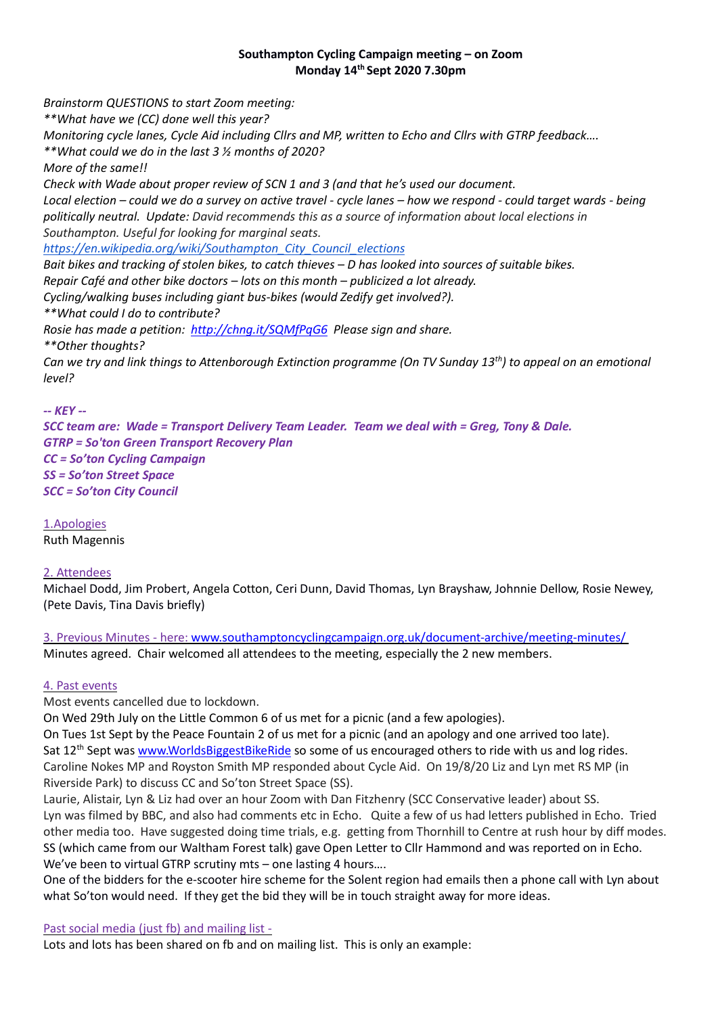### **Southampton Cycling Campaign meeting – on Zoom Monday 14 th Sept 2020 7.30pm**

*Brainstorm QUESTIONS to start Zoom meeting: \*\*What have we (CC) done well this year? Monitoring cycle lanes, Cycle Aid including Cllrs and MP, written to Echo and Cllrs with GTRP feedback…. \*\*What could we do in the last 3 ½ months of 2020? More of the same!! Check with Wade about proper review of SCN 1 and 3 (and that he's used our document. Local election – could we do a survey on active travel - cycle lanes – how we respond - could target wards - being politically neutral. Update: David recommends this as a source of information about local elections in Southampton. Useful for looking for marginal seats. [https://en.wikipedia.org/wiki/Southampton\\_City\\_Council\\_elections](https://en.wikipedia.org/wiki/Southampton_City_Council_elections) Bait bikes and tracking of stolen bikes, to catch thieves – D has looked into sources of suitable bikes. Repair Café and other bike doctors – lots on this month – publicized a lot already. Cycling/walking buses including giant bus-bikes (would Zedify get involved?). \*\*What could I do to contribute? Rosie has made a petition: <http://chng.it/SQMfPqG6>Please sign and share. \*\*Other thoughts? Can we try and link things to Attenborough Extinction programme (On TV Sunday 13th) to appeal on an emotional level? -- KEY -- SCC team are: Wade = Transport Delivery Team Leader. Team we deal with = Greg, Tony & Dale.*

*GTRP = So'ton Green Transport Recovery Plan CC = So'ton Cycling Campaign SS = So'ton Street Space SCC = So'ton City Council*

1.Apologies Ruth Magennis

#### 2. Attendees

Michael Dodd, Jim Probert, Angela Cotton, Ceri Dunn, David Thomas, Lyn Brayshaw, Johnnie Dellow, Rosie Newey, (Pete Davis, Tina Davis briefly)

3. Previous Minutes - here[: www.southamptoncyclingcampaign.org.uk/document-archive/meeting-minutes/](http://www.southamptoncyclingcampaign.org.uk/document-archive/meeting-minutes/) Minutes agreed. Chair welcomed all attendees to the meeting, especially the 2 new members.

#### 4. Past events

Most events cancelled due to lockdown.

On Wed 29th July on the Little Common 6 of us met for a picnic (and a few apologies).

On Tues 1st Sept by the Peace Fountain 2 of us met for a picnic (and an apology and one arrived too late). Sat 12<sup>th</sup> Sept was [www.WorldsBiggestBikeRide](http://www.worldsbiggestbikeride/) so some of us encouraged others to ride with us and log rides. Caroline Nokes MP and Royston Smith MP responded about Cycle Aid. On 19/8/20 Liz and Lyn met RS MP (in Riverside Park) to discuss CC and So'ton Street Space (SS).

Laurie, Alistair, Lyn & Liz had over an hour Zoom with Dan Fitzhenry (SCC Conservative leader) about SS. Lyn was filmed by BBC, and also had comments etc in Echo. Quite a few of us had letters published in Echo. Tried other media too. Have suggested doing time trials, e.g. getting from Thornhill to Centre at rush hour by diff modes. SS (which came from our Waltham Forest talk) gave Open Letter to Cllr Hammond and was reported on in Echo. We've been to virtual GTRP scrutiny mts – one lasting 4 hours....

One of the bidders for the e-scooter hire scheme for the Solent region had emails then a phone call with Lyn about what So'ton would need. If they get the bid they will be in touch straight away for more ideas.

Past social media (just fb) and mailing list -

Lots and lots has been shared on fb and on mailing list. This is only an example: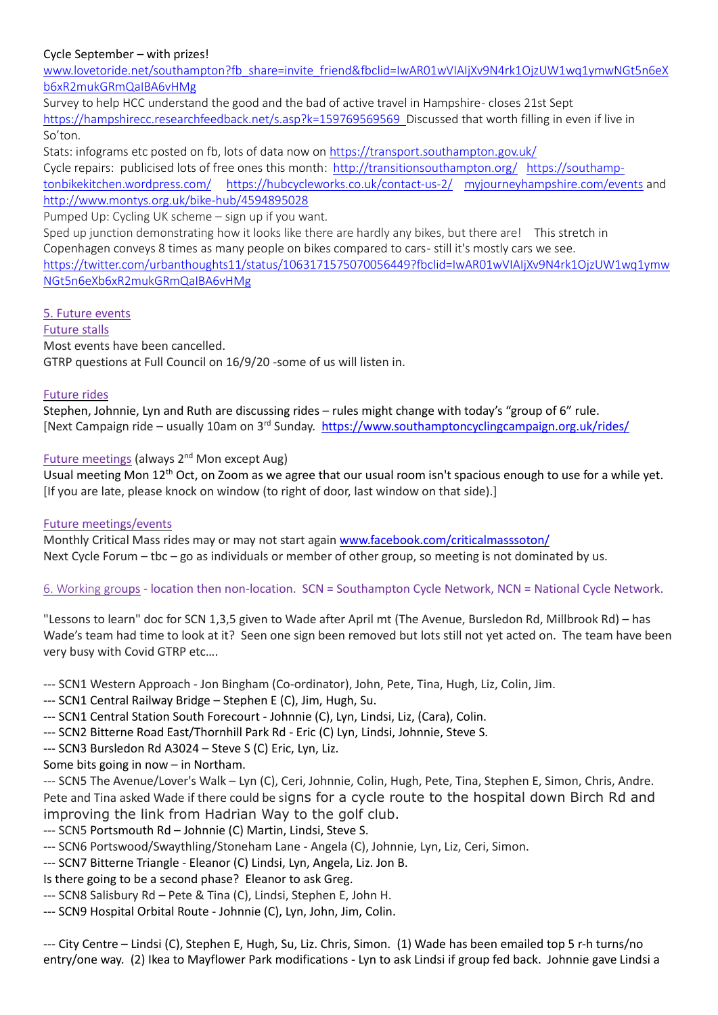# Cycle September – with prizes!

[www.lovetoride.net/southampton?fb\\_share=invite\\_friend&fbclid=IwAR01wVIAIjXv9N4rk1OjzUW1wq1ymwNGt5n6eX](http://www.lovetoride.net/southampton?fb_share=invite_friend&fbclid=IwAR01wVIAIjXv9N4rk1OjzUW1wq1ymwNGt5n6eXb6xR2mukGRmQaIBA6vHMg) [b6xR2mukGRmQaIBA6vHMg](http://www.lovetoride.net/southampton?fb_share=invite_friend&fbclid=IwAR01wVIAIjXv9N4rk1OjzUW1wq1ymwNGt5n6eXb6xR2mukGRmQaIBA6vHMg)

Survey to help HCC understand the good and the bad of active travel in Hampshire - closes 21st Sept [https://hampshirecc.researchfeedback.net/s.asp?k=159769569569](https://hampshirecc.researchfeedback.net/s.asp?k=159769569569&fbclid=IwAR1N97P9UEks33tCJOH0e4V6cMKGoCcKPInwXWc73KYfuBSEioRnzcEsJYs) Discussed that worth filling in even if live in So'ton.

Stats: infograms etc posted on fb, lots of data now on<https://transport.southampton.gov.uk/> Cycle repairs: publicised lots of free ones this month: [http://transitionsouthampton.org/](https://l.facebook.com/l.php?u=http%3A%2F%2Ftransitionsouthampton.org%2F%3Ffbclid%3DIwAR01wVIAIjXv9N4rk1OjzUW1wq1ymwNGt5n6eXb6xR2mukGRmQaIBA6vHMg&h=AT0BV5C8D8h3-m4cUjssOHM9GlvvuXdj4H9QuJUiUZk1TKvgXer3cn9261wgF1Q684Ag7IwuMqdEIy70yc28BYLdvrex_HCXuma9He2mqCvPeuDLWggh_Sjpnr_RKCq9AMni&__tn__=-UK-R&c%5b0%5d=AT2dK8mIkB_tMm68F9ghqOz3M1ZWKh1sTF5M1LqySjVJ8EC3lQI8OOOnQLc2W5oc0ShQw1YFyJIRtfe05Lrz7Z6X-yP-y73NEg-WSxg0cjT8WcouF3PlxKMCH1wi83tHPfmWjbJn3fYQxOopNgvMyHhQ1ja8IN8QOAPiqzGUkChK-z5XwKWOj04B3hiMhY4) [https://southamp](https://southamptonbikekitchen.wordpress.com/)[tonbikekitchen.wordpress.com/](https://southamptonbikekitchen.wordpress.com/) [https://hubcycleworks.co.uk/contact-us-2/](https://hubcycleworks.co.uk/contact-us-2/?fbclid=IwAR01wVIAIjXv9N4rk1OjzUW1wq1ymwNGt5n6eXb6xR2mukGRmQaIBA6vHMg) [myjourneyhampshire.com/events](https://l.facebook.com/l.php?u=http%3A%2F%2Fmyjourneyhampshire.com%2Fevents%3Ffbclid%3DIwAR01wVIAIjXv9N4rk1OjzUW1wq1ymwNGt5n6eXb6xR2mukGRmQaIBA6vHMg&h=AT1yS0WnTUQNDRyLSpavqHsPKb5XCzlfv7iVGoRTBUW9tkTs1p6_6-lGZoopW4fDKBNhL8oAi3dK5uwec5DIrEuPwozVPBD-AswA3FjQvT16PIJw_-H3cyuXE1qNJRdMNU1k&__tn__=-UK-R&c%5b0%5d=AT2dK8mIkB_tMm68F9ghqOz3M1ZWKh1sTF5M1LqySjVJ8EC3lQI8OOOnQLc2W5oc0ShQw1YFyJIRtfe05Lrz7Z6X-yP-y73NEg-WSxg0cjT8WcouF3PlxKMCH1wi83tHPfmWjbJn3fYQxOopNgvMyHhQ1ja8IN8QOAPiqzGUkChK-z5XwKWOj04B3hiMhY4) and [http://www.montys.org.uk/bike-hub/4594895028](http://www.montys.org.uk/bike-hub/4594895028?fbclid=IwAR01wVIAIjXv9N4rk1OjzUW1wq1ymwNGt5n6eXb6xR2mukGRmQaIBA6vHMg)

Pumped Up: Cycling UK scheme – sign up if you want.

Sped up junction demonstrating how it looks like there are hardly any bikes, but there are! This stretch in Copenhagen conveys 8 times as many people on bikes compared to cars- still it's mostly cars we see. [https://twitter.com/urbanthoughts11/status/1063171575070056449?fbclid=IwAR01wVIAIjXv9N4rk1OjzUW1wq1ymw](https://twitter.com/urbanthoughts11/status/1063171575070056449?fbclid=IwAR01wVIAIjXv9N4rk1OjzUW1wq1ymwNGt5n6eXb6xR2mukGRmQaIBA6vHMg) [NGt5n6eXb6xR2mukGRmQaIBA6vHMg](https://twitter.com/urbanthoughts11/status/1063171575070056449?fbclid=IwAR01wVIAIjXv9N4rk1OjzUW1wq1ymwNGt5n6eXb6xR2mukGRmQaIBA6vHMg)

## 5. Future events

Future stalls Most events have been cancelled. GTRP questions at Full Council on 16/9/20 -some of us will listen in.

#### Future rides

Stephen, Johnnie, Lyn and Ruth are discussing rides – rules might change with today's "group of 6" rule. [Next Campaign ride – usually 10am on 3<sup>rd</sup> Sunday.<https://www.southamptoncyclingcampaign.org.uk/rides/>

# Future meetings (always 2<sup>nd</sup> Mon except Aug)

Usual meeting Mon 12<sup>th</sup> Oct, on Zoom as we agree that our usual room isn't spacious enough to use for a while yet. [If you are late, please knock on window (to right of door, last window on that side).]

## Future meetings/events

Monthly Critical Mass rides may or may not start agai[n www.facebook.com/criticalmasssoton/](https://www.facebook.com/criticalmasssoton/) Next Cycle Forum – tbc – go as individuals or member of other group, so meeting is not dominated by us.

## 6. Working groups - location then non-location. SCN = Southampton Cycle Network, NCN = National Cycle Network.

"Lessons to learn" doc for SCN 1,3,5 given to Wade after April mt (The Avenue, Bursledon Rd, Millbrook Rd) – has Wade's team had time to look at it? Seen one sign been removed but lots still not yet acted on. The team have been very busy with Covid GTRP etc….

--- SCN1 Western Approach - Jon Bingham (Co-ordinator), John, Pete, Tina, Hugh, Liz, Colin, Jim.

- --- SCN1 Central Railway Bridge Stephen E (C), Jim, Hugh, Su.
- --- SCN1 Central Station South Forecourt Johnnie (C), Lyn, Lindsi, Liz, (Cara), Colin.
- --- SCN2 Bitterne Road East/Thornhill Park Rd Eric (C) Lyn, Lindsi, Johnnie, Steve S.
- --- SCN3 Bursledon Rd A3024 Steve S (C) Eric, Lyn, Liz.

Some bits going in now – in Northam.

--- SCN5 The Avenue/Lover's Walk – Lyn (C), Ceri, Johnnie, Colin, Hugh, Pete, Tina, Stephen E, Simon, Chris, Andre. Pete and Tina asked Wade if there could be signs for a cycle route to the hospital down Birch Rd and improving the link from Hadrian Way to the golf club.

- --- SCN5 Portsmouth Rd Johnnie (C) Martin, Lindsi, Steve S.
- --- SCN6 Portswood/Swaythling/Stoneham Lane Angela (C), Johnnie, Lyn, Liz, Ceri, Simon.
- --- SCN7 Bitterne Triangle Eleanor (C) Lindsi, Lyn, Angela, Liz. Jon B.

Is there going to be a second phase? Eleanor to ask Greg.

- --- SCN8 Salisbury Rd Pete & Tina (C), Lindsi, Stephen E, John H.
- --- SCN9 Hospital Orbital Route Johnnie (C), Lyn, John, Jim, Colin.

--- City Centre – Lindsi (C), Stephen E, Hugh, Su, Liz. Chris, Simon. (1) Wade has been emailed top 5 r-h turns/no entry/one way. (2) Ikea to Mayflower Park modifications - Lyn to ask Lindsi if group fed back. Johnnie gave Lindsi a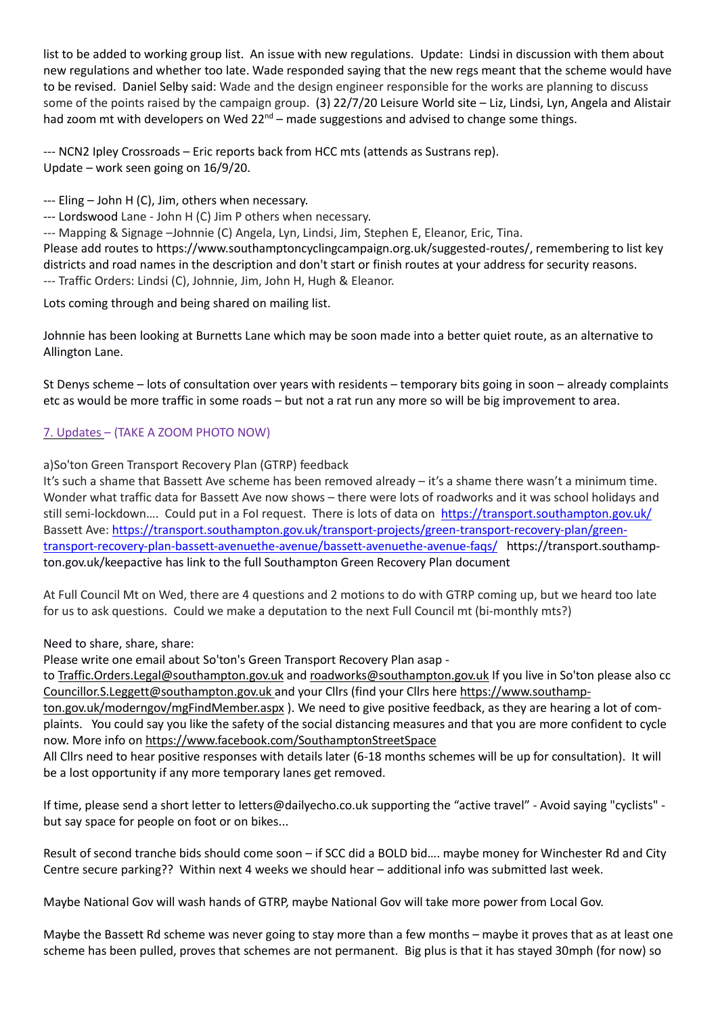list to be added to working group list. An issue with new regulations. Update: Lindsi in discussion with them about new regulations and whether too late. Wade responded saying that the new regs meant that the scheme would have to be revised. Daniel Selby said: Wade and the design engineer responsible for the works are planning to discuss some of the points raised by the campaign group. (3) 22/7/20 Leisure World site – Liz, Lindsi, Lyn, Angela and Alistair had zoom mt with developers on Wed  $22^{nd}$  – made suggestions and advised to change some things.

--- NCN2 Ipley Crossroads – Eric reports back from HCC mts (attends as Sustrans rep). Update – work seen going on 16/9/20.

--- Eling – John H (C), Jim, others when necessary.

--- Lordswood Lane - John H (C) Jim P others when necessary.

--- Mapping & Signage –Johnnie (C) Angela, Lyn, Lindsi, Jim, Stephen E, Eleanor, Eric, Tina.

Please add routes to https://www.southamptoncyclingcampaign.org.uk/suggested-routes/, remembering to list key districts and road names in the description and don't start or finish routes at your address for security reasons. --- Traffic Orders: Lindsi (C), Johnnie, Jim, John H, Hugh & Eleanor.

Lots coming through and being shared on mailing list.

Johnnie has been looking at Burnetts Lane which may be soon made into a better quiet route, as an alternative to Allington Lane.

St Denys scheme – lots of consultation over years with residents – temporary bits going in soon – already complaints etc as would be more traffic in some roads – but not a rat run any more so will be big improvement to area.

# 7. Updates – (TAKE A ZOOM PHOTO NOW)

a)So'ton Green Transport Recovery Plan (GTRP) feedback

It's such a shame that Bassett Ave scheme has been removed already – it's a shame there wasn't a minimum time. Wonder what traffic data for Bassett Ave now shows – there were lots of roadworks and it was school holidays and still semi-lockdown.... Could put in a FoI request. There is lots of data on https://transport.southampton.gov.uk/ Bassett Ave: [https://transport.southampton.gov.uk/transport-projects/green-transport-recovery-plan/green](https://transport.southampton.gov.uk/transport-projects/green-transport-recovery-plan/green-transport-recovery-plan-bassett-avenuethe-avenue/bassett-avenuethe-avenue-faqs/)[transport-recovery-plan-bassett-avenuethe-avenue/bassett-avenuethe-avenue-faqs/](https://transport.southampton.gov.uk/transport-projects/green-transport-recovery-plan/green-transport-recovery-plan-bassett-avenuethe-avenue/bassett-avenuethe-avenue-faqs/) https://transport.southampton.gov.uk/keepactive has link to the full Southampton Green Recovery Plan document

At Full Council Mt on Wed, there are 4 questions and 2 motions to do with GTRP coming up, but we heard too late for us to ask questions. Could we make a deputation to the next Full Council mt (bi-monthly mts?)

Need to share, share, share:

Please write one email about So'ton's Green Transport Recovery Plan asap -

to [Traffic.Orders.Legal@southampton.gov.uk](mailto:Traffic.Orders.Legal@southampton.gov.uk) and [roadworks@southampton.gov.uk](mailto:roadworks@southampton.gov.uk) If you live in So'ton please also cc [Councillor.S.Leggett@southampton.gov.uk](mailto:Councillor.S.Leggett@southampton.gov.uk) and your Cllrs (find your Cllrs her[e https://www.southamp-](https://l.facebook.com/l.php?u=https%3A%2F%2Fwww.southampton.gov.uk%2Fmoderngov%2FmgFindMember.aspx%3Ffbclid%3DIwAR0KnbZ7TJdmiM1hjnvISJV03_az7L6M0kj0rXERXWPIgZe49XLbpU5b2A4&h=AT0pTgM6EYJqsjWSrfZ-oCXAPAkOuulitqAUFRhStUowb5nF7j7I-1BZuIRJ-H4gOB9HZlzzhum7UyjzaQBdDvTDWMYuuNd5DuDIIleqQEfQmxZu9NvUAJyu0pKueTQTabSA&__tn__=-UK-R&c%5b0%5d=AT1inozn8Rucg4yvdOYvSAKKcBZXWSJZe9D9SxkIWm61-NJMXeT6zY1j1pDFuQsTQWnTmkcW9_J5rDmflMb1MyHtMusz7ZUURe1VBwaU2bsnY5bl5uv0WE5q1d99hHa3gWUtcagWtLNgKby5NDxK7EP1SInFQOBjzH_iICJDxWKMywFq4z9Bxn9vpoEwLIBakDlS_gxpIdOSMO9c)

[ton.gov.uk/moderngov/mgFindMember.aspx](https://l.facebook.com/l.php?u=https%3A%2F%2Fwww.southampton.gov.uk%2Fmoderngov%2FmgFindMember.aspx%3Ffbclid%3DIwAR0KnbZ7TJdmiM1hjnvISJV03_az7L6M0kj0rXERXWPIgZe49XLbpU5b2A4&h=AT0pTgM6EYJqsjWSrfZ-oCXAPAkOuulitqAUFRhStUowb5nF7j7I-1BZuIRJ-H4gOB9HZlzzhum7UyjzaQBdDvTDWMYuuNd5DuDIIleqQEfQmxZu9NvUAJyu0pKueTQTabSA&__tn__=-UK-R&c%5b0%5d=AT1inozn8Rucg4yvdOYvSAKKcBZXWSJZe9D9SxkIWm61-NJMXeT6zY1j1pDFuQsTQWnTmkcW9_J5rDmflMb1MyHtMusz7ZUURe1VBwaU2bsnY5bl5uv0WE5q1d99hHa3gWUtcagWtLNgKby5NDxK7EP1SInFQOBjzH_iICJDxWKMywFq4z9Bxn9vpoEwLIBakDlS_gxpIdOSMO9c) ). We need to give positive feedback, as they are hearing a lot of complaints. You could say you like the safety of the social distancing measures and that you are more confident to cycle now. More info o[n https://www.facebook.com/SouthamptonStreetSpace](https://www.facebook.com/SouthamptonStreetSpace) 

All Cllrs need to hear positive responses with details later (6-18 months schemes will be up for consultation). It will be a lost opportunity if any more temporary lanes get removed.

If time, please send a short letter to letters@dailyecho.co.uk supporting the "active travel" - Avoid saying "cyclists" but say space for people on foot or on bikes...

Result of second tranche bids should come soon – if SCC did a BOLD bid…. maybe money for Winchester Rd and City Centre secure parking?? Within next 4 weeks we should hear – additional info was submitted last week.

Maybe National Gov will wash hands of GTRP, maybe National Gov will take more power from Local Gov.

Maybe the Bassett Rd scheme was never going to stay more than a few months – maybe it proves that as at least one scheme has been pulled, proves that schemes are not permanent. Big plus is that it has stayed 30mph (for now) so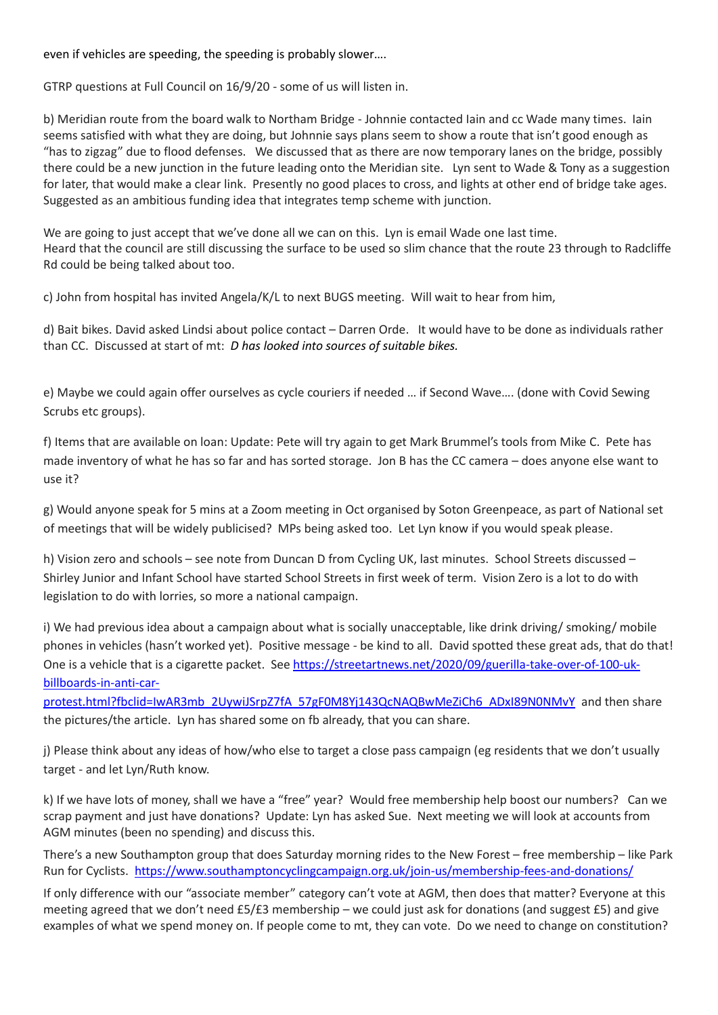even if vehicles are speeding, the speeding is probably slower….

GTRP questions at Full Council on 16/9/20 - some of us will listen in.

b) Meridian route from the board walk to Northam Bridge - Johnnie contacted Iain and cc Wade many times. Iain seems satisfied with what they are doing, but Johnnie says plans seem to show a route that isn't good enough as "has to zigzag" due to flood defenses. We discussed that as there are now temporary lanes on the bridge, possibly there could be a new junction in the future leading onto the Meridian site. Lyn sent to Wade & Tony as a suggestion for later, that would make a clear link. Presently no good places to cross, and lights at other end of bridge take ages. Suggested as an ambitious funding idea that integrates temp scheme with junction.

We are going to just accept that we've done all we can on this. Lyn is email Wade one last time. Heard that the council are still discussing the surface to be used so slim chance that the route 23 through to Radcliffe Rd could be being talked about too.

c) John from hospital has invited Angela/K/L to next BUGS meeting. Will wait to hear from him,

d) Bait bikes. David asked Lindsi about police contact – Darren Orde. It would have to be done as individuals rather than CC. Discussed at start of mt: *D has looked into sources of suitable bikes.*

e) Maybe we could again offer ourselves as cycle couriers if needed … if Second Wave…. (done with Covid Sewing Scrubs etc groups).

f) Items that are available on loan: Update: Pete will try again to get Mark Brummel's tools from Mike C. Pete has made inventory of what he has so far and has sorted storage. Jon B has the CC camera – does anyone else want to use it?

g) Would anyone speak for 5 mins at a Zoom meeting in Oct organised by Soton Greenpeace, as part of National set of meetings that will be widely publicised? MPs being asked too. Let Lyn know if you would speak please.

h) Vision zero and schools – see note from Duncan D from Cycling UK, last minutes. School Streets discussed – Shirley Junior and Infant School have started School Streets in first week of term. Vision Zero is a lot to do with legislation to do with lorries, so more a national campaign.

i) We had previous idea about a campaign about what is socially unacceptable, like drink driving/ smoking/ mobile phones in vehicles (hasn't worked yet). Positive message - be kind to all. David spotted these great ads, that do that! One is a vehicle that is a cigarette packet. See [https://streetartnews.net/2020/09/guerilla-take-over-of-100-uk](https://streetartnews.net/2020/09/guerilla-take-over-of-100-uk-billboards-in-anti-car-protest.html?fbclid=IwAR3mb_2UywiJSrpZ7fA_57gF0M8Yj143QcNAQBwMeZiCh6_ADxI89N0NMvY)[billboards-in-anti-car-](https://streetartnews.net/2020/09/guerilla-take-over-of-100-uk-billboards-in-anti-car-protest.html?fbclid=IwAR3mb_2UywiJSrpZ7fA_57gF0M8Yj143QcNAQBwMeZiCh6_ADxI89N0NMvY)

[protest.html?fbclid=IwAR3mb\\_2UywiJSrpZ7fA\\_57gF0M8Yj143QcNAQBwMeZiCh6\\_ADxI89N0NMvY](https://streetartnews.net/2020/09/guerilla-take-over-of-100-uk-billboards-in-anti-car-protest.html?fbclid=IwAR3mb_2UywiJSrpZ7fA_57gF0M8Yj143QcNAQBwMeZiCh6_ADxI89N0NMvY) and then share the pictures/the article. Lyn has shared some on fb already, that you can share.

j) Please think about any ideas of how/who else to target a close pass campaign (eg residents that we don't usually target - and let Lyn/Ruth know.

k) If we have lots of money, shall we have a "free" year? Would free membership help boost our numbers? Can we scrap payment and just have donations? Update: Lyn has asked Sue. Next meeting we will look at accounts from AGM minutes (been no spending) and discuss this.

There's a new Southampton group that does Saturday morning rides to the New Forest – free membership – like Park Run for Cyclists.<https://www.southamptoncyclingcampaign.org.uk/join-us/membership-fees-and-donations/>

If only difference with our "associate member" category can't vote at AGM, then does that matter? Everyone at this meeting agreed that we don't need £5/£3 membership – we could just ask for donations (and suggest £5) and give examples of what we spend money on. If people come to mt, they can vote. Do we need to change on constitution?